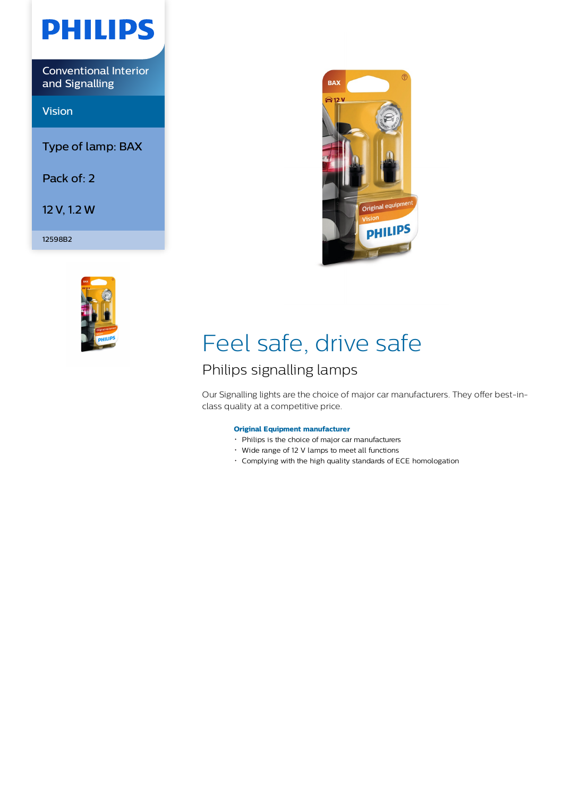

Conventional Interior and Signalling

Vision

Type of lamp: BAX

Pack of: 2

12 V, 1.2 W

12598B2





# Feel safe, drive safe

## Philips signalling lamps

Our Signalling lights are the choice of major car manufacturers. They offer best-inclass quality at a competitive price.

### **Original Equipment manufacturer**

- Philips is the choice of major car manufacturers
- Wide range of 12 V lamps to meet all functions
- Complying with the high quality standards of ECE homologation